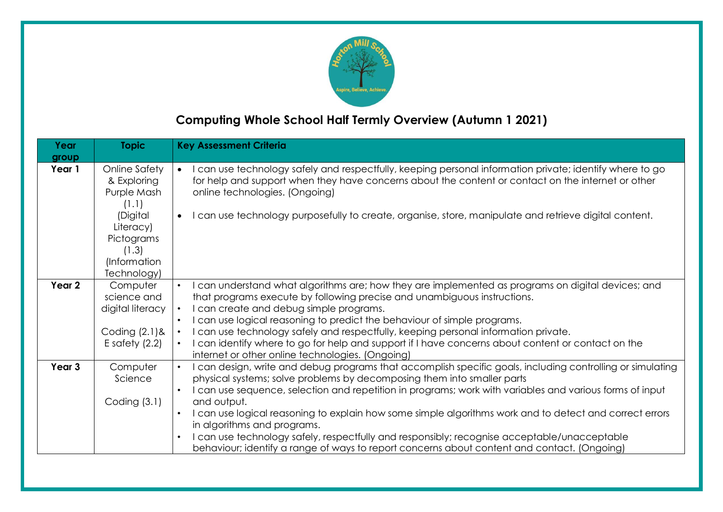

## **Computing Whole School Half Termly Overview (Autumn 1 2021)**

| Year<br>group     | <b>Topic</b>                                                                                                                        | <b>Key Assessment Criteria</b>                                                                                                                                                                                                                                                                                                                                                                                                                                                                                                                                                                                                                                         |  |
|-------------------|-------------------------------------------------------------------------------------------------------------------------------------|------------------------------------------------------------------------------------------------------------------------------------------------------------------------------------------------------------------------------------------------------------------------------------------------------------------------------------------------------------------------------------------------------------------------------------------------------------------------------------------------------------------------------------------------------------------------------------------------------------------------------------------------------------------------|--|
| Year 1            | Online Safety<br>& Exploring<br>Purple Mash<br>(1.1)<br>(Digital<br>Literacy)<br>Pictograms<br>(1.3)<br>(Information<br>Technology) | I can use technology safely and respectfully, keeping personal information private; identify where to go<br>$\bullet$<br>for help and support when they have concerns about the content or contact on the internet or other<br>online technologies. (Ongoing)<br>I can use technology purposefully to create, organise, store, manipulate and retrieve digital content.<br>$\bullet$                                                                                                                                                                                                                                                                                   |  |
| Year 2            | Computer<br>science and<br>digital literacy<br>Coding $(2.1)$ &<br>E safety $(2.2)$                                                 | I can understand what algorithms are; how they are implemented as programs on digital devices; and<br>$\bullet$<br>that programs execute by following precise and unambiguous instructions.<br>I can create and debug simple programs.<br>$\bullet$<br>I can use logical reasoning to predict the behaviour of simple programs.<br>$\bullet$<br>I can use technology safely and respectfully, keeping personal information private.<br>$\bullet$<br>I can identify where to go for help and support if I have concerns about content or contact on the<br>$\bullet$<br>internet or other online technologies. (Ongoing)                                                |  |
| Year <sub>3</sub> | Computer<br>Science<br>Coding $(3.1)$                                                                                               | I can design, write and debug programs that accomplish specific goals, including controlling or simulating<br>$\bullet$<br>physical systems; solve problems by decomposing them into smaller parts<br>I can use sequence, selection and repetition in programs; work with variables and various forms of input<br>and output.<br>I can use logical reasoning to explain how some simple algorithms work and to detect and correct errors<br>in algorithms and programs.<br>I can use technology safely, respectfully and responsibly; recognise acceptable/unacceptable<br>behaviour; identify a range of ways to report concerns about content and contact. (Ongoing) |  |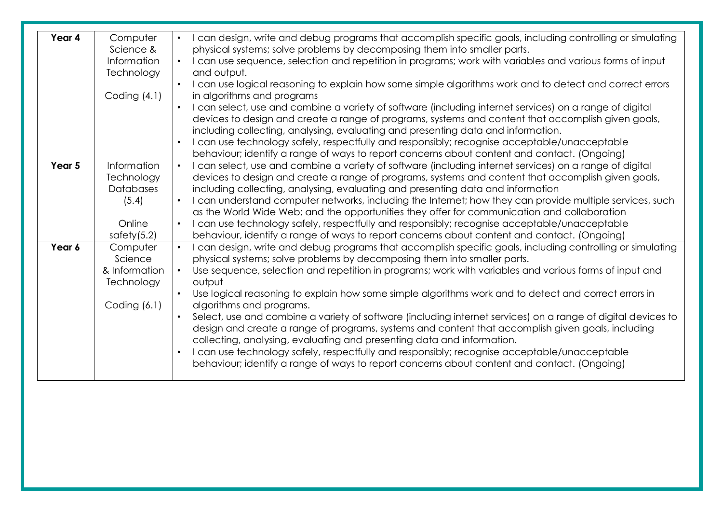| Year 4 | Computer       | I can design, write and debug programs that accomplish specific goals, including controlling or simulating   |
|--------|----------------|--------------------------------------------------------------------------------------------------------------|
|        | Science &      | physical systems; solve problems by decomposing them into smaller parts.                                     |
|        | Information    | I can use sequence, selection and repetition in programs; work with variables and various forms of input     |
|        | Technology     | and output.                                                                                                  |
|        |                | I can use logical reasoning to explain how some simple algorithms work and to detect and correct errors      |
|        | Coding $(4.1)$ | in algorithms and programs                                                                                   |
|        |                | I can select, use and combine a variety of software (including internet services) on a range of digital      |
|        |                | devices to design and create a range of programs, systems and content that accomplish given goals,           |
|        |                | including collecting, analysing, evaluating and presenting data and information.                             |
|        |                | I can use technology safely, respectfully and responsibly; recognise acceptable/unacceptable                 |
|        |                | behaviour; identify a range of ways to report concerns about content and contact. (Ongoing)                  |
| Year 5 | Information    | I can select, use and combine a variety of software (including internet services) on a range of digital      |
|        | Technology     | devices to design and create a range of programs, systems and content that accomplish given goals,           |
|        | Databases      | including collecting, analysing, evaluating and presenting data and information                              |
|        | (5.4)          | I can understand computer networks, including the Internet; how they can provide multiple services, such     |
|        |                | as the World Wide Web; and the opportunities they offer for communication and collaboration                  |
|        | Online         | I can use technology safely, respectfully and responsibly; recognise acceptable/unacceptable                 |
|        | safety $(5.2)$ | behaviour, identify a range of ways to report concerns about content and contact. (Ongoing)                  |
| Year 6 |                |                                                                                                              |
|        | Computer       | I can design, write and debug programs that accomplish specific goals, including controlling or simulating   |
|        | Science        | physical systems; solve problems by decomposing them into smaller parts.                                     |
|        | & Information  | Use sequence, selection and repetition in programs; work with variables and various forms of input and       |
|        | Technology     | output                                                                                                       |
|        |                | Use logical reasoning to explain how some simple algorithms work and to detect and correct errors in         |
|        | Coding (6.1)   | algorithms and programs.                                                                                     |
|        |                | Select, use and combine a variety of software (including internet services) on a range of digital devices to |
|        |                | design and create a range of programs, systems and content that accomplish given goals, including            |
|        |                | collecting, analysing, evaluating and presenting data and information.                                       |
|        |                | I can use technology safely, respectfully and responsibly; recognise acceptable/unacceptable                 |
|        |                | behaviour; identify a range of ways to report concerns about content and contact. (Ongoing)                  |
|        |                |                                                                                                              |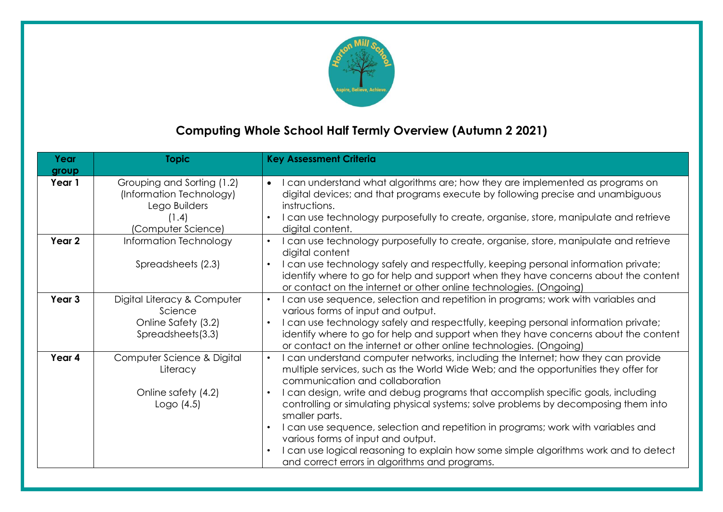

# **Computing Whole School Half Termly Overview (Autumn 2 2021)**

| Year<br>group     | <b>Topic</b>                                                                                           | <b>Key Assessment Criteria</b>                                                                                                                                                                                                                                                                                                                                                                                                                                                                                                                                                                                                                                                                                                   |
|-------------------|--------------------------------------------------------------------------------------------------------|----------------------------------------------------------------------------------------------------------------------------------------------------------------------------------------------------------------------------------------------------------------------------------------------------------------------------------------------------------------------------------------------------------------------------------------------------------------------------------------------------------------------------------------------------------------------------------------------------------------------------------------------------------------------------------------------------------------------------------|
| Year 1            | Grouping and Sorting (1.2)<br>(Information Technology)<br>Lego Builders<br>(1.4)<br>(Computer Science) | I can understand what algorithms are; how they are implemented as programs on<br>$\bullet$<br>digital devices; and that programs execute by following precise and unambiguous<br>instructions.<br>I can use technology purposefully to create, organise, store, manipulate and retrieve<br>$\bullet$<br>digital content.                                                                                                                                                                                                                                                                                                                                                                                                         |
| Year 2            | Information Technology<br>Spreadsheets (2.3)                                                           | I can use technology purposefully to create, organise, store, manipulate and retrieve<br>$\bullet$<br>digital content<br>I can use technology safely and respectfully, keeping personal information private;<br>$\bullet$<br>identify where to go for help and support when they have concerns about the content<br>or contact on the internet or other online technologies. (Ongoing)                                                                                                                                                                                                                                                                                                                                           |
| Year <sub>3</sub> | Digital Literacy & Computer<br>Science<br>Online Safety (3.2)<br>Spreadsheets(3.3)                     | I can use sequence, selection and repetition in programs; work with variables and<br>$\bullet$<br>various forms of input and output.<br>I can use technology safely and respectfully, keeping personal information private;<br>identify where to go for help and support when they have concerns about the content<br>or contact on the internet or other online technologies. (Ongoing)                                                                                                                                                                                                                                                                                                                                         |
| Year 4            | Computer Science & Digital<br>Literacy<br>Online safety (4.2)<br>Logo $(4.5)$                          | I can understand computer networks, including the Internet; how they can provide<br>$\bullet$<br>multiple services, such as the World Wide Web; and the opportunities they offer for<br>communication and collaboration<br>I can design, write and debug programs that accomplish specific goals, including<br>$\bullet$<br>controlling or simulating physical systems; solve problems by decomposing them into<br>smaller parts.<br>I can use sequence, selection and repetition in programs; work with variables and<br>$\bullet$<br>various forms of input and output.<br>I can use logical reasoning to explain how some simple algorithms work and to detect<br>$\bullet$<br>and correct errors in algorithms and programs. |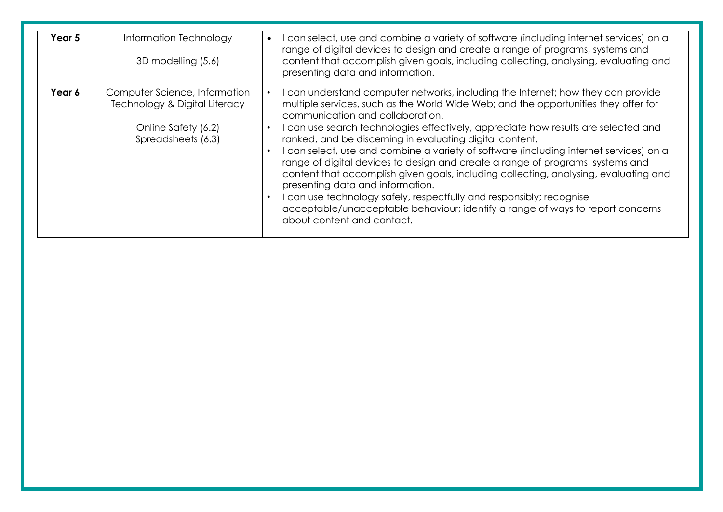| Year 5 | Information Technology<br>3D modelling (5.6)                                                                | I can select, use and combine a variety of software (including internet services) on a<br>range of digital devices to design and create a range of programs, systems and<br>content that accomplish given goals, including collecting, analysing, evaluating and<br>presenting data and information.                                                                                                                                                                                                                                                                                                                                                                                                                                                                                                                                                          |
|--------|-------------------------------------------------------------------------------------------------------------|---------------------------------------------------------------------------------------------------------------------------------------------------------------------------------------------------------------------------------------------------------------------------------------------------------------------------------------------------------------------------------------------------------------------------------------------------------------------------------------------------------------------------------------------------------------------------------------------------------------------------------------------------------------------------------------------------------------------------------------------------------------------------------------------------------------------------------------------------------------|
| Year 6 | Computer Science, Information<br>Technology & Digital Literacy<br>Online Safety (6.2)<br>Spreadsheets (6.3) | I can understand computer networks, including the Internet; how they can provide<br>multiple services, such as the World Wide Web; and the opportunities they offer for<br>communication and collaboration.<br>I can use search technologies effectively, appreciate how results are selected and<br>ranked, and be discerning in evaluating digital content.<br>I can select, use and combine a variety of software (including internet services) on a<br>range of digital devices to design and create a range of programs, systems and<br>content that accomplish given goals, including collecting, analysing, evaluating and<br>presenting data and information.<br>I can use technology safely, respectfully and responsibly; recognise<br>acceptable/unacceptable behaviour; identify a range of ways to report concerns<br>about content and contact. |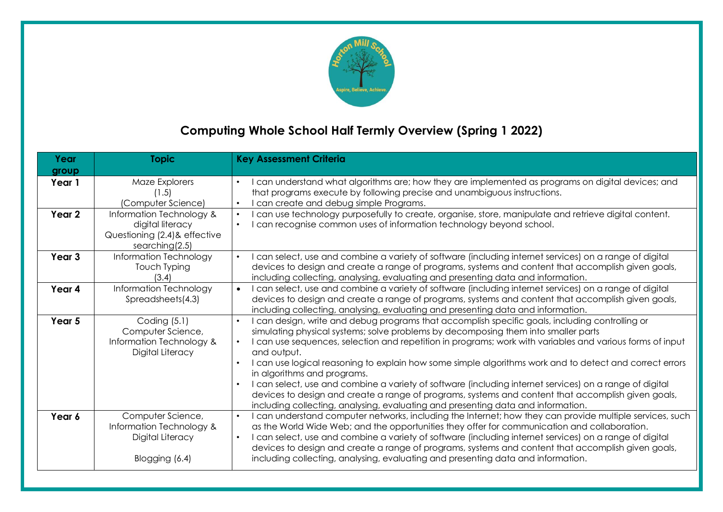

## **Computing Whole School Half Termly Overview (Spring 1 2022)**

| Year<br>group     | <b>Topic</b>                                                                                    | <b>Key Assessment Criteria</b>                                                                                                                                                                                                                                                                                                                                                                                                                                                                                                                                                                                                                                                                                                                                                |
|-------------------|-------------------------------------------------------------------------------------------------|-------------------------------------------------------------------------------------------------------------------------------------------------------------------------------------------------------------------------------------------------------------------------------------------------------------------------------------------------------------------------------------------------------------------------------------------------------------------------------------------------------------------------------------------------------------------------------------------------------------------------------------------------------------------------------------------------------------------------------------------------------------------------------|
| Year 1            | Maze Explorers<br>(1.5)<br>(Computer Science)                                                   | I can understand what algorithms are; how they are implemented as programs on digital devices; and<br>that programs execute by following precise and unambiguous instructions.<br>I can create and debug simple Programs.                                                                                                                                                                                                                                                                                                                                                                                                                                                                                                                                                     |
| Year 2            | Information Technology &<br>digital literacy<br>Questioning (2.4) & effective<br>searching(2.5) | I can use technology purposefully to create, organise, store, manipulate and retrieve digital content.<br>$\bullet$<br>I can recognise common uses of information technology beyond school.                                                                                                                                                                                                                                                                                                                                                                                                                                                                                                                                                                                   |
| Year <sub>3</sub> | Information Technology<br>Touch Typing<br>(3.4)                                                 | I can select, use and combine a variety of software (including internet services) on a range of digital<br>devices to design and create a range of programs, systems and content that accomplish given goals,<br>including collecting, analysing, evaluating and presenting data and information.                                                                                                                                                                                                                                                                                                                                                                                                                                                                             |
| Year 4            | Information Technology<br>Spreadsheets(4.3)                                                     | I can select, use and combine a variety of software (including internet services) on a range of digital<br>$\bullet$<br>devices to design and create a range of programs, systems and content that accomplish given goals,<br>including collecting, analysing, evaluating and presenting data and information.                                                                                                                                                                                                                                                                                                                                                                                                                                                                |
| Year <sub>5</sub> | Coding $(5.1)$<br>Computer Science,<br>Information Technology &<br>Digital Literacy             | I can design, write and debug programs that accomplish specific goals, including controlling or<br>simulating physical systems; solve problems by decomposing them into smaller parts<br>I can use sequences, selection and repetition in programs; work with variables and various forms of input<br>$\bullet$<br>and output.<br>I can use logical reasoning to explain how some simple algorithms work and to detect and correct errors<br>in algorithms and programs.<br>I can select, use and combine a variety of software (including internet services) on a range of digital<br>devices to design and create a range of programs, systems and content that accomplish given goals,<br>including collecting, analysing, evaluating and presenting data and information. |
| Year 6            | Computer Science,<br>Information Technology &<br>Digital Literacy<br>Blogging (6.4)             | I can understand computer networks, including the Internet; how they can provide multiple services, such<br>$\bullet$<br>as the World Wide Web; and the opportunities they offer for communication and collaboration.<br>I can select, use and combine a variety of software (including internet services) on a range of digital<br>devices to design and create a range of programs, systems and content that accomplish given goals,<br>including collecting, analysing, evaluating and presenting data and information.                                                                                                                                                                                                                                                    |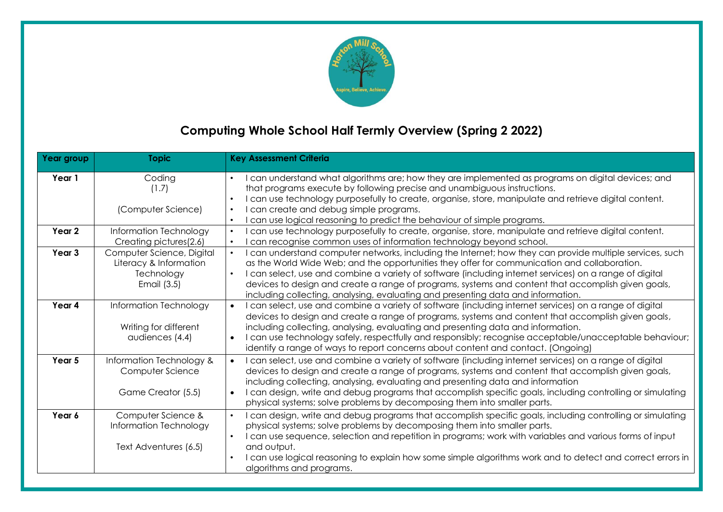

## **Computing Whole School Half Termly Overview (Spring 2 2022)**

| Year group | <b>Topic</b>                                                                     | <b>Key Assessment Criteria</b>                                                                                                                                                                                                                                                                                                                                                                                                                                                                                                          |
|------------|----------------------------------------------------------------------------------|-----------------------------------------------------------------------------------------------------------------------------------------------------------------------------------------------------------------------------------------------------------------------------------------------------------------------------------------------------------------------------------------------------------------------------------------------------------------------------------------------------------------------------------------|
| Year 1     | Coding<br>(1.7)<br>(Computer Science)                                            | can understand what algorithms are; how they are implemented as programs on digital devices; and<br>$\bullet$<br>that programs execute by following precise and unambiguous instructions.<br>I can use technology purposefully to create, organise, store, manipulate and retrieve digital content.<br>$\bullet$<br>I can create and debug simple programs.<br>$\bullet$<br>can use logical reasoning to predict the behaviour of simple programs.<br>$\bullet$                                                                         |
| Year 2     | Information Technology<br>Creating pictures(2.6)                                 | can use technology purposefully to create, organise, store, manipulate and retrieve digital content.<br>$\bullet$<br>can recognise common uses of information technology beyond school.<br>$\bullet$                                                                                                                                                                                                                                                                                                                                    |
| Year 3     | Computer Science, Digital<br>Literacy & Information<br>Technology<br>Email (3.5) | I can understand computer networks, including the Internet; how they can provide multiple services, such<br>$\bullet$<br>as the World Wide Web; and the opportunities they offer for communication and collaboration.<br>I can select, use and combine a variety of software (including internet services) on a range of digital<br>$\bullet$<br>devices to design and create a range of programs, systems and content that accomplish given goals,<br>including collecting, analysing, evaluating and presenting data and information. |
| Year 4     | Information Technology<br>Writing for different<br>audiences (4.4)               | I can select, use and combine a variety of software (including internet services) on a range of digital<br>$\bullet$<br>devices to design and create a range of programs, systems and content that accomplish given goals,<br>including collecting, analysing, evaluating and presenting data and information.<br>I can use technology safely, respectfully and responsibly; recognise acceptable/unacceptable behaviour;<br>$\bullet$<br>identify a range of ways to report concerns about content and contact. (Ongoing)              |
| Year 5     | Information Technology &<br>Computer Science<br>Game Creator (5.5)               | I can select, use and combine a variety of software (including internet services) on a range of digital<br>devices to design and create a range of programs, systems and content that accomplish given goals,<br>including collecting, analysing, evaluating and presenting data and information<br>I can design, write and debug programs that accomplish specific goals, including controlling or simulating<br>$\bullet$<br>physical systems; solve problems by decomposing them into smaller parts.                                 |
| Year 6     | Computer Science &<br>Information Technology<br>Text Adventures (6.5)            | I can design, write and debug programs that accomplish specific goals, including controlling or simulating<br>$\bullet$<br>physical systems; solve problems by decomposing them into smaller parts.<br>I can use sequence, selection and repetition in programs; work with variables and various forms of input<br>$\bullet$<br>and output.<br>I can use logical reasoning to explain how some simple algorithms work and to detect and correct errors in<br>$\bullet$<br>algorithms and programs.                                      |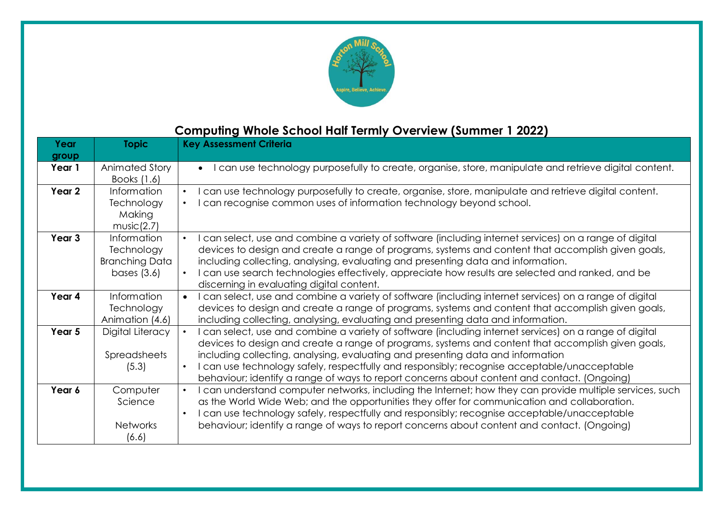

## **Computing Whole School Half Termly Overview (Summer 1 2022)**

| Year   | <b>Topic</b>                                                        | <b>Key Assessment Criteria</b>                                                                                                                                                                                                                                                                                                                                                                                                                                                                  |
|--------|---------------------------------------------------------------------|-------------------------------------------------------------------------------------------------------------------------------------------------------------------------------------------------------------------------------------------------------------------------------------------------------------------------------------------------------------------------------------------------------------------------------------------------------------------------------------------------|
| group  |                                                                     |                                                                                                                                                                                                                                                                                                                                                                                                                                                                                                 |
| Year 1 | Animated Story<br>Books (1.6)                                       | • I can use technology purposefully to create, organise, store, manipulate and retrieve digital content.                                                                                                                                                                                                                                                                                                                                                                                        |
| Year 2 | Information<br>Technology<br>Making<br>music(2.7)                   | I can use technology purposefully to create, organise, store, manipulate and retrieve digital content.<br>I can recognise common uses of information technology beyond school.                                                                                                                                                                                                                                                                                                                  |
| Year 3 | Information<br>Technology<br><b>Branching Data</b><br>bases $(3.6)$ | I can select, use and combine a variety of software (including internet services) on a range of digital<br>$\bullet$<br>devices to design and create a range of programs, systems and content that accomplish given goals,<br>including collecting, analysing, evaluating and presenting data and information.<br>I can use search technologies effectively, appreciate how results are selected and ranked, and be<br>discerning in evaluating digital content.                                |
| Year 4 | Information<br>Technology<br>Animation (4.6)                        | I can select, use and combine a variety of software (including internet services) on a range of digital<br>devices to design and create a range of programs, systems and content that accomplish given goals,<br>including collecting, analysing, evaluating and presenting data and information.                                                                                                                                                                                               |
| Year 5 | Digital Literacy<br><b>Spreadsheets</b><br>(5.3)                    | I can select, use and combine a variety of software (including internet services) on a range of digital<br>devices to design and create a range of programs, systems and content that accomplish given goals,<br>including collecting, analysing, evaluating and presenting data and information<br>I can use technology safely, respectfully and responsibly; recognise acceptable/unacceptable<br>behaviour; identify a range of ways to report concerns about content and contact. (Ongoing) |
| Year 6 | Computer<br>Science<br><b>Networks</b><br>(6.6)                     | I can understand computer networks, including the Internet; how they can provide multiple services, such<br>as the World Wide Web; and the opportunities they offer for communication and collaboration.<br>I can use technology safely, respectfully and responsibly; recognise acceptable/unacceptable<br>behaviour; identify a range of ways to report concerns about content and contact. (Ongoing)                                                                                         |